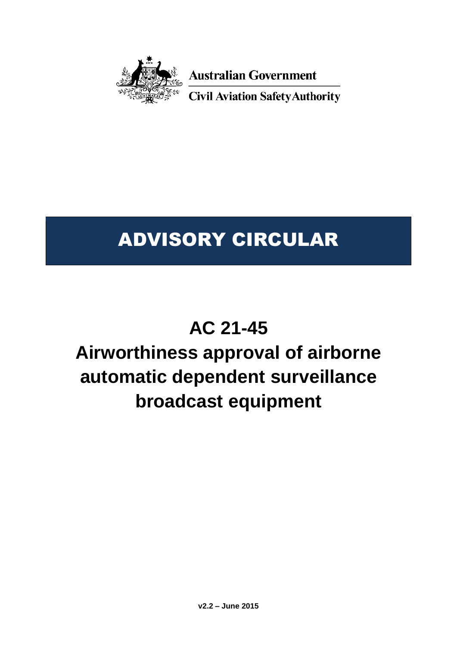

**Australian Government** 

**Civil Aviation Safety Authority** 

# ADVISORY CIRCULAR

# **AC 21-45**

# **Airworthiness approval of airborne automatic dependent surveillance broadcast equipment**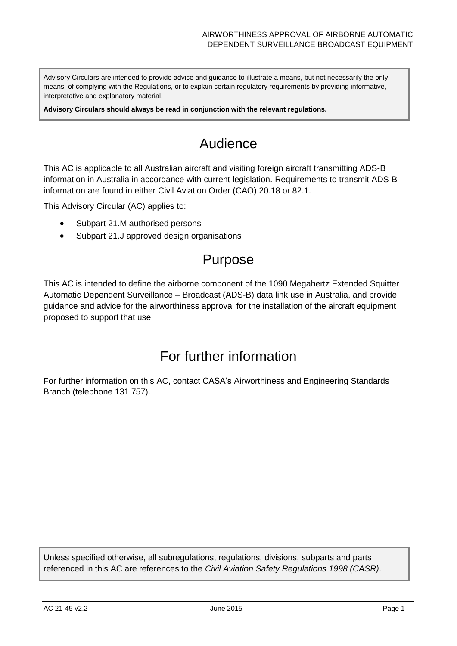Advisory Circulars are intended to provide advice and guidance to illustrate a means, but not necessarily the only means, of complying with the Regulations, or to explain certain regulatory requirements by providing informative, interpretative and explanatory material.

**Advisory Circulars should always be read in conjunction with the relevant regulations.**

# Audience

This AC is applicable to all Australian aircraft and visiting foreign aircraft transmitting ADS-B information in Australia in accordance with current legislation. Requirements to transmit ADS-B information are found in either Civil Aviation Order (CAO) 20.18 or 82.1.

This Advisory Circular (AC) applies to:

- Subpart 21.M authorised persons
- Subpart 21.J approved design organisations

## Purpose

This AC is intended to define the airborne component of the 1090 Megahertz Extended Squitter Automatic Dependent Surveillance – Broadcast (ADS-B) data link use in Australia, and provide guidance and advice for the airworthiness approval for the installation of the aircraft equipment proposed to support that use.

## For further information

For further information on this AC, contact CASA's Airworthiness and Engineering Standards Branch (telephone 131 757).

Unless specified otherwise, all subregulations, regulations, divisions, subparts and parts referenced in this AC are references to the *Civil Aviation Safety Regulations 1998 (CASR)*.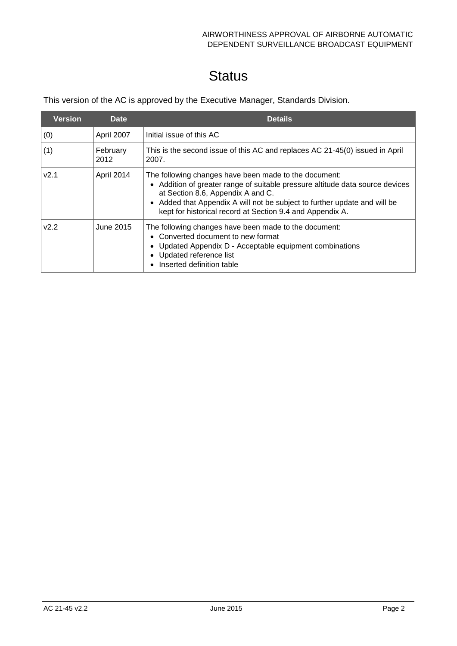# **Status**

This version of the AC is approved by the Executive Manager, Standards Division.

| <b>Version</b>   | <b>Date</b>      | <b>Details</b>                                                                                                                                                                                                                                                                                                        |  |
|------------------|------------------|-----------------------------------------------------------------------------------------------------------------------------------------------------------------------------------------------------------------------------------------------------------------------------------------------------------------------|--|
| (0)              | April 2007       | Initial issue of this AC                                                                                                                                                                                                                                                                                              |  |
| (1)              | February<br>2012 | This is the second issue of this AC and replaces AC 21-45(0) issued in April<br>2007.                                                                                                                                                                                                                                 |  |
| V2.1             | April 2014       | The following changes have been made to the document:<br>• Addition of greater range of suitable pressure altitude data source devices<br>at Section 8.6, Appendix A and C.<br>• Added that Appendix A will not be subject to further update and will be<br>kept for historical record at Section 9.4 and Appendix A. |  |
| V <sub>2.2</sub> | June 2015        | The following changes have been made to the document:<br>• Converted document to new format<br>• Updated Appendix D - Acceptable equipment combinations<br>• Updated reference list<br>Inserted definition table                                                                                                      |  |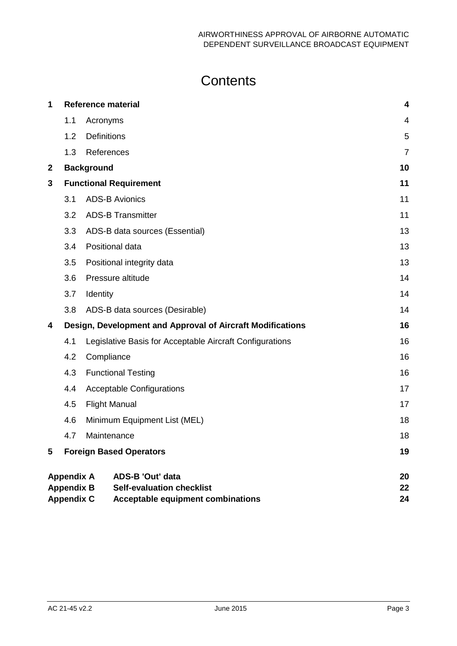# **Contents**

| 1           |                                        | <b>Reference material</b>                                                    | 4              |
|-------------|----------------------------------------|------------------------------------------------------------------------------|----------------|
|             | 1.1                                    | Acronyms                                                                     | $\overline{4}$ |
|             | 1.2                                    | <b>Definitions</b>                                                           | 5              |
|             | 1.3                                    | References                                                                   | $\overline{7}$ |
| $\mathbf 2$ |                                        | <b>Background</b>                                                            | 10             |
| 3           |                                        | <b>Functional Requirement</b>                                                | 11             |
|             | 3.1                                    | <b>ADS-B Avionics</b>                                                        | 11             |
|             | 3.2                                    | <b>ADS-B Transmitter</b>                                                     | 11             |
|             | 3.3                                    | ADS-B data sources (Essential)                                               | 13             |
|             | 3.4                                    | Positional data                                                              | 13             |
|             | 3.5                                    | Positional integrity data                                                    | 13             |
|             | 3.6                                    | Pressure altitude                                                            | 14             |
|             | 3.7                                    | Identity                                                                     | 14             |
|             | 3.8                                    | ADS-B data sources (Desirable)                                               | 14             |
| 4           |                                        | Design, Development and Approval of Aircraft Modifications                   | 16             |
|             | 4.1                                    | Legislative Basis for Acceptable Aircraft Configurations                     | 16             |
|             | 4.2                                    | Compliance                                                                   | 16             |
|             | 4.3                                    | <b>Functional Testing</b>                                                    | 16             |
|             | 4.4                                    | <b>Acceptable Configurations</b>                                             | 17             |
|             | 4.5                                    | <b>Flight Manual</b>                                                         | 17             |
|             | 4.6                                    | Minimum Equipment List (MEL)                                                 | 18             |
|             | 4.7                                    | Maintenance                                                                  | 18             |
| 5           |                                        | <b>Foreign Based Operators</b>                                               | 19             |
|             | <b>Appendix A</b>                      | <b>ADS-B 'Out' data</b>                                                      | 20             |
|             | <b>Appendix B</b><br><b>Appendix C</b> | <b>Self-evaluation checklist</b><br><b>Acceptable equipment combinations</b> | 22<br>24       |
|             |                                        |                                                                              |                |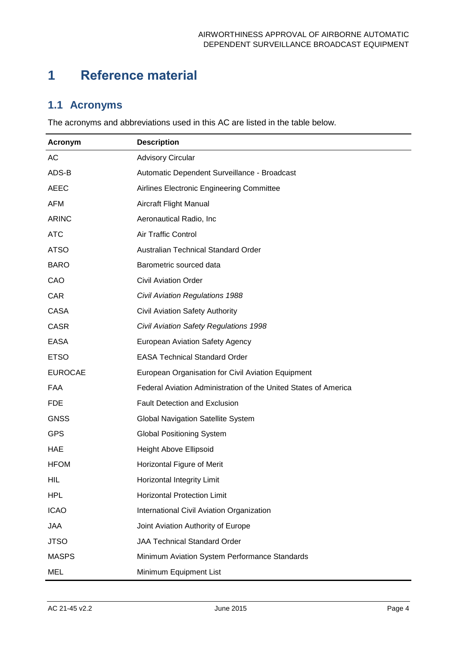# <span id="page-4-0"></span>**1 Reference material**

## <span id="page-4-1"></span>**1.1 Acronyms**

The acronyms and abbreviations used in this AC are listed in the table below.

| Acronym        | <b>Description</b>                                              |  |
|----------------|-----------------------------------------------------------------|--|
| AC             | <b>Advisory Circular</b>                                        |  |
| ADS-B          | Automatic Dependent Surveillance - Broadcast                    |  |
| <b>AEEC</b>    | Airlines Electronic Engineering Committee                       |  |
| <b>AFM</b>     | Aircraft Flight Manual                                          |  |
| <b>ARINC</b>   | Aeronautical Radio, Inc                                         |  |
| <b>ATC</b>     | Air Traffic Control                                             |  |
| <b>ATSO</b>    | Australian Technical Standard Order                             |  |
| <b>BARO</b>    | Barometric sourced data                                         |  |
| CAO            | <b>Civil Aviation Order</b>                                     |  |
| <b>CAR</b>     | <b>Civil Aviation Regulations 1988</b>                          |  |
| <b>CASA</b>    | <b>Civil Aviation Safety Authority</b>                          |  |
| <b>CASR</b>    | Civil Aviation Safety Regulations 1998                          |  |
| <b>EASA</b>    | European Aviation Safety Agency                                 |  |
| <b>ETSO</b>    | <b>EASA Technical Standard Order</b>                            |  |
| <b>EUROCAE</b> | European Organisation for Civil Aviation Equipment              |  |
| FAA            | Federal Aviation Administration of the United States of America |  |
| <b>FDE</b>     | Fault Detection and Exclusion                                   |  |
| <b>GNSS</b>    | <b>Global Navigation Satellite System</b>                       |  |
| <b>GPS</b>     | <b>Global Positioning System</b>                                |  |
| <b>HAE</b>     | Height Above Ellipsoid                                          |  |
| <b>HFOM</b>    | Horizontal Figure of Merit                                      |  |
| <b>HIL</b>     | Horizontal Integrity Limit                                      |  |
| <b>HPL</b>     | <b>Horizontal Protection Limit</b>                              |  |
| <b>ICAO</b>    | International Civil Aviation Organization                       |  |
| <b>JAA</b>     | Joint Aviation Authority of Europe                              |  |
| <b>JTSO</b>    | <b>JAA Technical Standard Order</b>                             |  |
| <b>MASPS</b>   | Minimum Aviation System Performance Standards                   |  |
| <b>MEL</b>     | Minimum Equipment List                                          |  |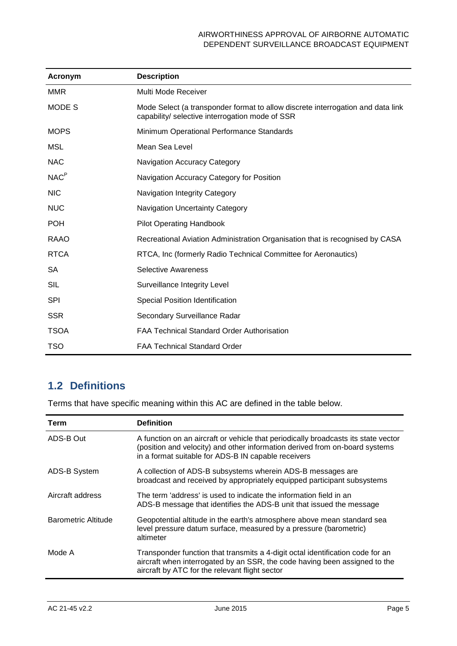| Acronym          | <b>Description</b>                                                                                                                 |
|------------------|------------------------------------------------------------------------------------------------------------------------------------|
| <b>MMR</b>       | Multi Mode Receiver                                                                                                                |
| <b>MODES</b>     | Mode Select (a transponder format to allow discrete interrogation and data link<br>capability/ selective interrogation mode of SSR |
| <b>MOPS</b>      | Minimum Operational Performance Standards                                                                                          |
| MSL              | Mean Sea Level                                                                                                                     |
| <b>NAC</b>       | <b>Navigation Accuracy Category</b>                                                                                                |
| NAC <sup>P</sup> | Navigation Accuracy Category for Position                                                                                          |
| <b>NIC</b>       | Navigation Integrity Category                                                                                                      |
| <b>NUC</b>       | <b>Navigation Uncertainty Category</b>                                                                                             |
| <b>POH</b>       | <b>Pilot Operating Handbook</b>                                                                                                    |
| RAAO             | Recreational Aviation Administration Organisation that is recognised by CASA                                                       |
| <b>RTCA</b>      | RTCA, Inc (formerly Radio Technical Committee for Aeronautics)                                                                     |
| <b>SA</b>        | <b>Selective Awareness</b>                                                                                                         |
| <b>SIL</b>       | Surveillance Integrity Level                                                                                                       |
| <b>SPI</b>       | Special Position Identification                                                                                                    |
| <b>SSR</b>       | Secondary Surveillance Radar                                                                                                       |
| <b>TSOA</b>      | <b>FAA Technical Standard Order Authorisation</b>                                                                                  |
| <b>TSO</b>       | <b>FAA Technical Standard Order</b>                                                                                                |

## <span id="page-5-0"></span>**1.2 Definitions**

Terms that have specific meaning within this AC are defined in the table below.

| Term                | <b>Definition</b>                                                                                                                                                                                                        |
|---------------------|--------------------------------------------------------------------------------------------------------------------------------------------------------------------------------------------------------------------------|
| ADS-B Out           | A function on an aircraft or vehicle that periodically broadcasts its state vector<br>(position and velocity) and other information derived from on-board systems<br>in a format suitable for ADS-B IN capable receivers |
| ADS-B System        | A collection of ADS-B subsystems wherein ADS-B messages are<br>broadcast and received by appropriately equipped participant subsystems                                                                                   |
| Aircraft address    | The term 'address' is used to indicate the information field in an<br>ADS-B message that identifies the ADS-B unit that issued the message                                                                               |
| Barometric Altitude | Geopotential altitude in the earth's atmosphere above mean standard sea<br>level pressure datum surface, measured by a pressure (barometric)<br>altimeter                                                                |
| Mode A              | Transponder function that transmits a 4-digit octal identification code for an<br>aircraft when interrogated by an SSR, the code having been assigned to the<br>aircraft by ATC for the relevant flight sector           |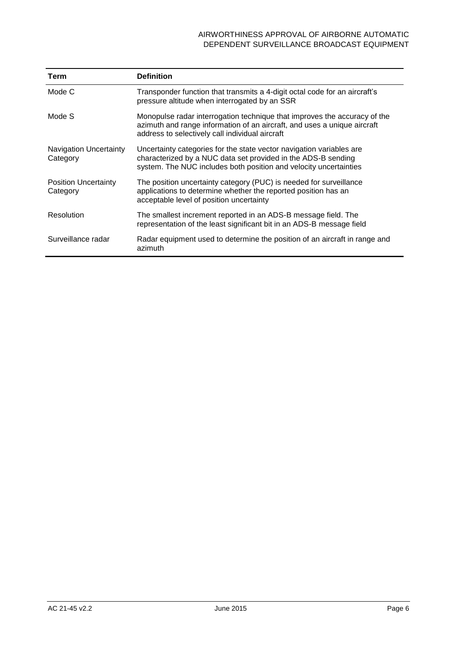| <b>Term</b>                               | <b>Definition</b>                                                                                                                                                                                          |
|-------------------------------------------|------------------------------------------------------------------------------------------------------------------------------------------------------------------------------------------------------------|
| Mode C                                    | Transponder function that transmits a 4-digit octal code for an aircraft's<br>pressure altitude when interrogated by an SSR                                                                                |
| Mode S                                    | Monopulse radar interrogation technique that improves the accuracy of the<br>azimuth and range information of an aircraft, and uses a unique aircraft<br>address to selectively call individual aircraft   |
| <b>Navigation Uncertainty</b><br>Category | Uncertainty categories for the state vector navigation variables are<br>characterized by a NUC data set provided in the ADS-B sending<br>system. The NUC includes both position and velocity uncertainties |
| <b>Position Uncertainty</b><br>Category   | The position uncertainty category (PUC) is needed for surveillance<br>applications to determine whether the reported position has an<br>acceptable level of position uncertainty                           |
| Resolution                                | The smallest increment reported in an ADS-B message field. The<br>representation of the least significant bit in an ADS-B message field                                                                    |
| Surveillance radar                        | Radar equipment used to determine the position of an aircraft in range and<br>azimuth                                                                                                                      |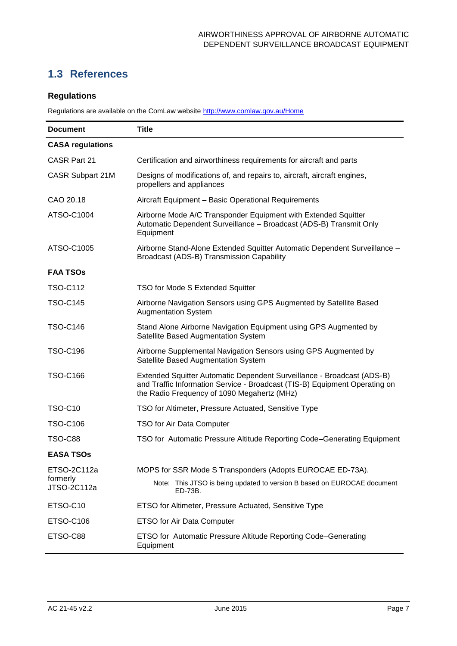## <span id="page-7-0"></span>**1.3 References**

### **Regulations**

Regulations are available on the ComLaw website<http://www.comlaw.gov.au/Home>

| <b>Document</b>         | <b>Title</b>                                                                                                                                                                                        |  |  |  |
|-------------------------|-----------------------------------------------------------------------------------------------------------------------------------------------------------------------------------------------------|--|--|--|
| <b>CASA regulations</b> |                                                                                                                                                                                                     |  |  |  |
| CASR Part 21            | Certification and airworthiness requirements for aircraft and parts                                                                                                                                 |  |  |  |
| CASR Subpart 21M        | Designs of modifications of, and repairs to, aircraft, aircraft engines,<br>propellers and appliances                                                                                               |  |  |  |
| CAO 20.18               | Aircraft Equipment - Basic Operational Requirements                                                                                                                                                 |  |  |  |
| ATSO-C1004              | Airborne Mode A/C Transponder Equipment with Extended Squitter<br>Automatic Dependent Surveillance - Broadcast (ADS-B) Transmit Only<br>Equipment                                                   |  |  |  |
| ATSO-C1005              | Airborne Stand-Alone Extended Squitter Automatic Dependent Surveillance -<br>Broadcast (ADS-B) Transmission Capability                                                                              |  |  |  |
| <b>FAA TSOs</b>         |                                                                                                                                                                                                     |  |  |  |
| <b>TSO-C112</b>         | <b>TSO for Mode S Extended Squitter</b>                                                                                                                                                             |  |  |  |
| <b>TSO-C145</b>         | Airborne Navigation Sensors using GPS Augmented by Satellite Based<br><b>Augmentation System</b>                                                                                                    |  |  |  |
| <b>TSO-C146</b>         | Stand Alone Airborne Navigation Equipment using GPS Augmented by<br>Satellite Based Augmentation System                                                                                             |  |  |  |
| <b>TSO-C196</b>         | Airborne Supplemental Navigation Sensors using GPS Augmented by<br>Satellite Based Augmentation System                                                                                              |  |  |  |
| <b>TSO-C166</b>         | Extended Squitter Automatic Dependent Surveillance - Broadcast (ADS-B)<br>and Traffic Information Service - Broadcast (TIS-B) Equipment Operating on<br>the Radio Frequency of 1090 Megahertz (MHz) |  |  |  |
| <b>TSO-C10</b>          | TSO for Altimeter, Pressure Actuated, Sensitive Type                                                                                                                                                |  |  |  |
| <b>TSO-C106</b>         | TSO for Air Data Computer                                                                                                                                                                           |  |  |  |
| <b>TSO-C88</b>          | TSO for Automatic Pressure Altitude Reporting Code–Generating Equipment                                                                                                                             |  |  |  |
| <b>EASA TSOS</b>        |                                                                                                                                                                                                     |  |  |  |
| ETSO-2C112a             | MOPS for SSR Mode S Transponders (Adopts EUROCAE ED-73A).                                                                                                                                           |  |  |  |
| formerly<br>JTSO-2C112a | Note: This JTSO is being updated to version B based on EUROCAE document<br>ED-73B.                                                                                                                  |  |  |  |
| ETSO-C10                | ETSO for Altimeter, Pressure Actuated, Sensitive Type                                                                                                                                               |  |  |  |
| ETSO-C106               | ETSO for Air Data Computer                                                                                                                                                                          |  |  |  |
| ETSO-C88                | ETSO for Automatic Pressure Altitude Reporting Code–Generating<br>Equipment                                                                                                                         |  |  |  |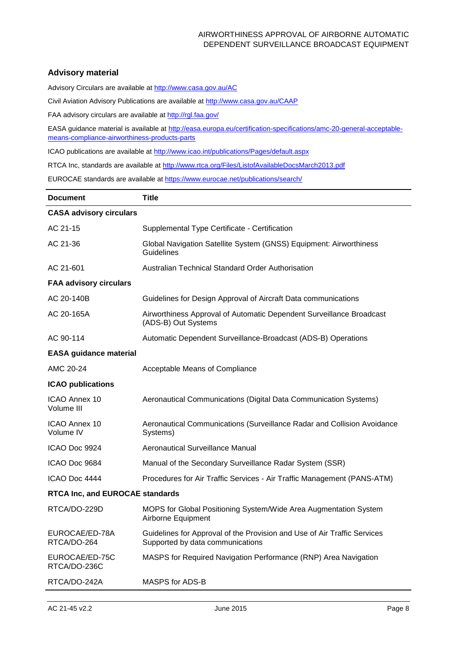### **Advisory material**

Advisory Circulars are available at [http://www.casa.gov.au/AC](http://www.casa.gov.au/ACs)

Civil Aviation Advisory Publications are available at [http://www.casa.gov.au/CAAP](http://www.casa.gov.au/CAAPs)

FAA advisory circulars are available at<http://rgl.faa.gov/>

EASA guidance material is available at [http://easa.europa.eu/certification-specifications/amc-20-general-acceptable](http://easa.europa.eu/certification-specifications/amc-20-general-acceptable-means-compliance-airworthiness-products-parts)[means-compliance-airworthiness-products-parts](http://easa.europa.eu/certification-specifications/amc-20-general-acceptable-means-compliance-airworthiness-products-parts)

ICAO publications are available at<http://www.icao.int/publications/Pages/default.aspx>

RTCA Inc, standards are available at<http://www.rtca.org/Files/ListofAvailableDocsMarch2013.pdf>

EUROCAE standards are available at<https://www.eurocae.net/publications/search/>

| <b>Document</b>                        | <b>Title</b>                                                                                                 |  |  |  |  |
|----------------------------------------|--------------------------------------------------------------------------------------------------------------|--|--|--|--|
| <b>CASA advisory circulars</b>         |                                                                                                              |  |  |  |  |
| AC 21-15                               | Supplemental Type Certificate - Certification                                                                |  |  |  |  |
| AC 21-36                               | Global Navigation Satellite System (GNSS) Equipment: Airworthiness<br>Guidelines                             |  |  |  |  |
| AC 21-601                              | Australian Technical Standard Order Authorisation                                                            |  |  |  |  |
| <b>FAA advisory circulars</b>          |                                                                                                              |  |  |  |  |
| AC 20-140B                             | Guidelines for Design Approval of Aircraft Data communications                                               |  |  |  |  |
| AC 20-165A                             | Airworthiness Approval of Automatic Dependent Surveillance Broadcast<br>(ADS-B) Out Systems                  |  |  |  |  |
| AC 90-114                              | Automatic Dependent Surveillance-Broadcast (ADS-B) Operations                                                |  |  |  |  |
| <b>EASA guidance material</b>          |                                                                                                              |  |  |  |  |
| AMC 20-24                              | Acceptable Means of Compliance                                                                               |  |  |  |  |
| <b>ICAO publications</b>               |                                                                                                              |  |  |  |  |
| ICAO Annex 10<br>Volume III            | Aeronautical Communications (Digital Data Communication Systems)                                             |  |  |  |  |
| <b>ICAO Annex 10</b><br>Volume IV      | Aeronautical Communications (Surveillance Radar and Collision Avoidance<br>Systems)                          |  |  |  |  |
| ICAO Doc 9924                          | Aeronautical Surveillance Manual                                                                             |  |  |  |  |
| ICAO Doc 9684                          | Manual of the Secondary Surveillance Radar System (SSR)                                                      |  |  |  |  |
| ICAO Doc 4444                          | Procedures for Air Traffic Services - Air Traffic Management (PANS-ATM)                                      |  |  |  |  |
| <b>RTCA Inc, and EUROCAE standards</b> |                                                                                                              |  |  |  |  |
| RTCA/DO-229D                           | MOPS for Global Positioning System/Wide Area Augmentation System<br>Airborne Equipment                       |  |  |  |  |
| EUROCAE/ED-78A<br>RTCA/DO-264          | Guidelines for Approval of the Provision and Use of Air Traffic Services<br>Supported by data communications |  |  |  |  |
| EUROCAE/ED-75C<br>RTCA/DO-236C         | MASPS for Required Navigation Performance (RNP) Area Navigation                                              |  |  |  |  |
| RTCA/DO-242A                           | MASPS for ADS-B                                                                                              |  |  |  |  |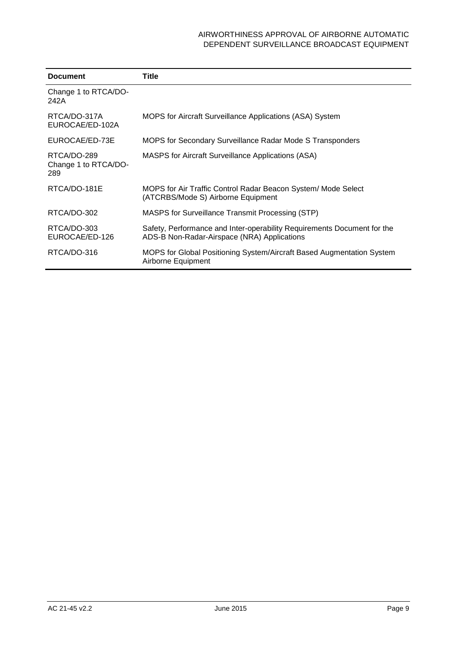| <b>Document</b>                            | Title                                                                                                                  |
|--------------------------------------------|------------------------------------------------------------------------------------------------------------------------|
| Change 1 to RTCA/DO-<br>242A               |                                                                                                                        |
| RTCA/DO-317A<br>EUROCAE/ED-102A            | <b>MOPS for Aircraft Surveillance Applications (ASA) System</b>                                                        |
| EUROCAE/ED-73E                             | MOPS for Secondary Surveillance Radar Mode S Transponders                                                              |
| RTCA/DO-289<br>Change 1 to RTCA/DO-<br>289 | <b>MASPS for Aircraft Surveillance Applications (ASA)</b>                                                              |
| RTCA/DO-181E                               | MOPS for Air Traffic Control Radar Beacon System/ Mode Select<br>(ATCRBS/Mode S) Airborne Equipment                    |
| RTCA/DO-302                                | MASPS for Surveillance Transmit Processing (STP)                                                                       |
| RTCA/DO-303<br>EUROCAE/ED-126              | Safety, Performance and Inter-operability Requirements Document for the<br>ADS-B Non-Radar-Airspace (NRA) Applications |
| RTCA/DO-316                                | MOPS for Global Positioning System/Aircraft Based Augmentation System<br>Airborne Equipment                            |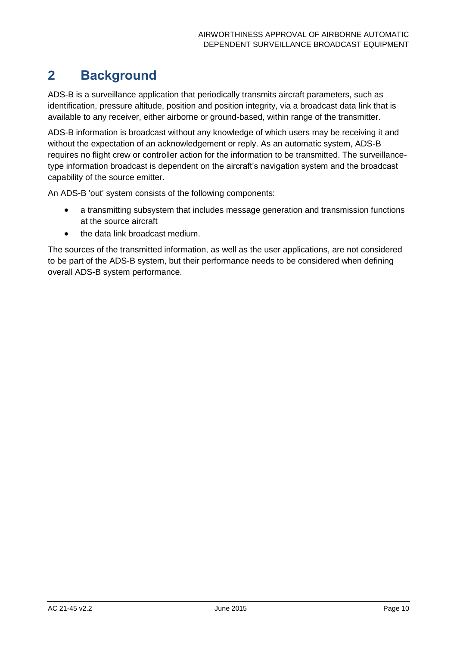## <span id="page-10-0"></span>**2 Background**

ADS-B is a surveillance application that periodically transmits aircraft parameters, such as identification, pressure altitude, position and position integrity, via a broadcast data link that is available to any receiver, either airborne or ground-based, within range of the transmitter.

ADS-B information is broadcast without any knowledge of which users may be receiving it and without the expectation of an acknowledgement or reply. As an automatic system, ADS-B requires no flight crew or controller action for the information to be transmitted. The surveillancetype information broadcast is dependent on the aircraft's navigation system and the broadcast capability of the source emitter.

An ADS-B 'out' system consists of the following components:

- a transmitting subsystem that includes message generation and transmission functions at the source aircraft
- the data link broadcast medium.

The sources of the transmitted information, as well as the user applications, are not considered to be part of the ADS-B system, but their performance needs to be considered when defining overall ADS-B system performance.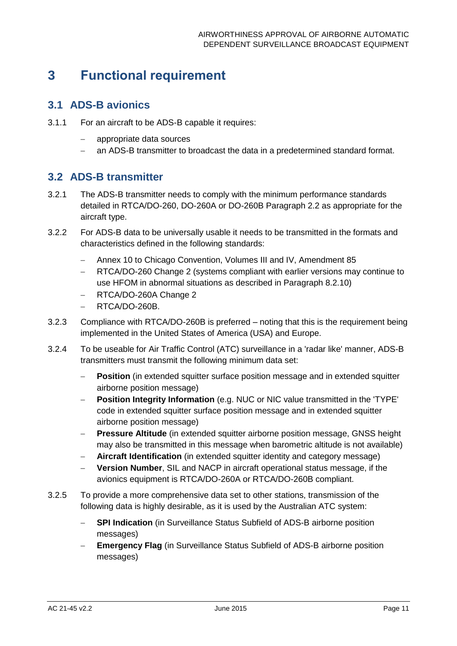## <span id="page-11-0"></span>**3 Functional requirement**

## <span id="page-11-1"></span>**3.1 ADS-B avionics**

- 3.1.1 For an aircraft to be ADS-B capable it requires:
	- appropriate data sources
	- an ADS-B transmitter to broadcast the data in a predetermined standard format.

## <span id="page-11-2"></span>**3.2 ADS-B transmitter**

- 3.2.1 The ADS-B transmitter needs to comply with the minimum performance standards detailed in RTCA/DO-260, DO-260A or DO-260B Paragraph 2.2 as appropriate for the aircraft type.
- 3.2.2 For ADS-B data to be universally usable it needs to be transmitted in the formats and characteristics defined in the following standards:
	- Annex 10 to Chicago Convention, Volumes III and IV, Amendment 85
	- RTCA/DO-260 Change 2 (systems compliant with earlier versions may continue to use HFOM in abnormal situations as described in Paragraph 8.2.10)
	- RTCA/DO-260A Change 2
	- RTCA/DO-260B.
- 3.2.3 Compliance with RTCA/DO-260B is preferred noting that this is the requirement being implemented in the United States of America (USA) and Europe.
- 3.2.4 To be useable for Air Traffic Control (ATC) surveillance in a 'radar like' manner, ADS-B transmitters must transmit the following minimum data set:
	- **Position** (in extended squitter surface position message and in extended squitter airborne position message)
	- **Position Integrity Information** (e.g. NUC or NIC value transmitted in the 'TYPE' code in extended squitter surface position message and in extended squitter airborne position message)
	- **Pressure Altitude** (in extended squitter airborne position message, GNSS height may also be transmitted in this message when barometric altitude is not available)
	- **Aircraft Identification** (in extended squitter identity and category message)
	- **Version Number**, SIL and NACP in aircraft operational status message, if the avionics equipment is RTCA/DO-260A or RTCA/DO-260B compliant.
- 3.2.5 To provide a more comprehensive data set to other stations, transmission of the following data is highly desirable, as it is used by the Australian ATC system:
	- **SPI Indication** (in Surveillance Status Subfield of ADS-B airborne position messages)
	- **Emergency Flag** (in Surveillance Status Subfield of ADS-B airborne position messages)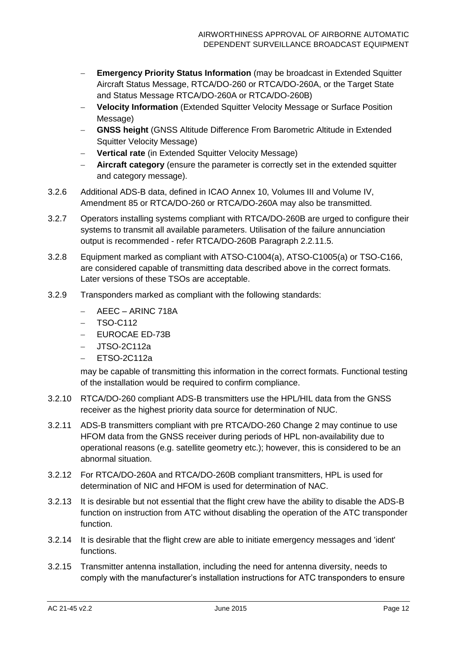- **Emergency Priority Status Information** (may be broadcast in Extended Squitter Aircraft Status Message, RTCA/DO-260 or RTCA/DO-260A, or the Target State and Status Message RTCA/DO-260A or RTCA/DO-260B)
- **Velocity Information** (Extended Squitter Velocity Message or Surface Position Message)
- **GNSS height** (GNSS Altitude Difference From Barometric Altitude in Extended Squitter Velocity Message)
- **Vertical rate** (in Extended Squitter Velocity Message)
- **Aircraft category** (ensure the parameter is correctly set in the extended squitter and category message).
- 3.2.6 Additional ADS-B data, defined in ICAO Annex 10, Volumes III and Volume IV, Amendment 85 or RTCA/DO-260 or RTCA/DO-260A may also be transmitted.
- 3.2.7 Operators installing systems compliant with RTCA/DO-260B are urged to configure their systems to transmit all available parameters. Utilisation of the failure annunciation output is recommended - refer RTCA/DO-260B Paragraph 2.2.11.5.
- 3.2.8 Equipment marked as compliant with ATSO-C1004(a), ATSO-C1005(a) or TSO-C166, are considered capable of transmitting data described above in the correct formats. Later versions of these TSOs are acceptable.
- 3.2.9 Transponders marked as compliant with the following standards:
	- AEEC ARINC 718A
	- TSO-C112
	- EUROCAE ED-73B
	- $-$  JTSO-2C112a
	- $-$  ETSO-2C112a

may be capable of transmitting this information in the correct formats. Functional testing of the installation would be required to confirm compliance.

- 3.2.10 RTCA/DO-260 compliant ADS-B transmitters use the HPL/HIL data from the GNSS receiver as the highest priority data source for determination of NUC.
- 3.2.11 ADS-B transmitters compliant with pre RTCA/DO-260 Change 2 may continue to use HFOM data from the GNSS receiver during periods of HPL non-availability due to operational reasons (e.g. satellite geometry etc.); however, this is considered to be an abnormal situation.
- 3.2.12 For RTCA/DO-260A and RTCA/DO-260B compliant transmitters, HPL is used for determination of NIC and HFOM is used for determination of NAC.
- 3.2.13 It is desirable but not essential that the flight crew have the ability to disable the ADS-B function on instruction from ATC without disabling the operation of the ATC transponder function.
- 3.2.14 It is desirable that the flight crew are able to initiate emergency messages and 'ident' functions.
- 3.2.15 Transmitter antenna installation, including the need for antenna diversity, needs to comply with the manufacturer's installation instructions for ATC transponders to ensure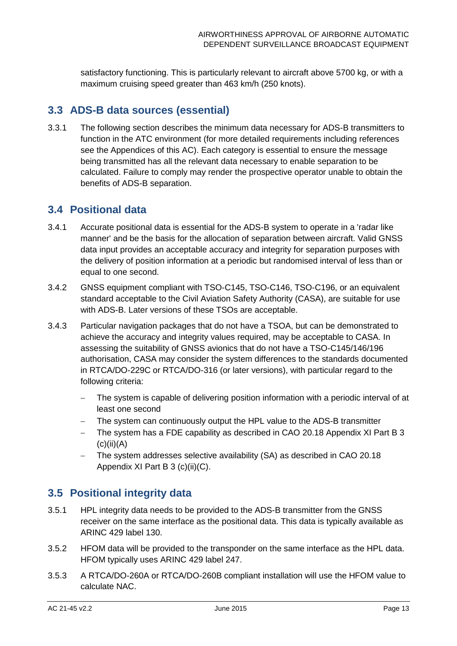satisfactory functioning. This is particularly relevant to aircraft above 5700 kg, or with a maximum cruising speed greater than 463 km/h (250 knots).

## <span id="page-13-0"></span>**3.3 ADS-B data sources (essential)**

3.3.1 The following section describes the minimum data necessary for ADS-B transmitters to function in the ATC environment (for more detailed requirements including references see the Appendices of this AC). Each category is essential to ensure the message being transmitted has all the relevant data necessary to enable separation to be calculated. Failure to comply may render the prospective operator unable to obtain the benefits of ADS-B separation.

## <span id="page-13-1"></span>**3.4 Positional data**

- 3.4.1 Accurate positional data is essential for the ADS-B system to operate in a 'radar like manner' and be the basis for the allocation of separation between aircraft. Valid GNSS data input provides an acceptable accuracy and integrity for separation purposes with the delivery of position information at a periodic but randomised interval of less than or equal to one second.
- 3.4.2 GNSS equipment compliant with TSO-C145, TSO-C146, TSO-C196, or an equivalent standard acceptable to the Civil Aviation Safety Authority (CASA), are suitable for use with ADS-B. Later versions of these TSOs are acceptable.
- 3.4.3 Particular navigation packages that do not have a TSOA, but can be demonstrated to achieve the accuracy and integrity values required, may be acceptable to CASA. In assessing the suitability of GNSS avionics that do not have a TSO-C145/146/196 authorisation, CASA may consider the system differences to the standards documented in RTCA/DO-229C or RTCA/DO-316 (or later versions), with particular regard to the following criteria:
	- The system is capable of delivering position information with a periodic interval of at least one second
	- The system can continuously output the HPL value to the ADS-B transmitter
	- The system has a FDE capability as described in CAO 20.18 Appendix XI Part B 3  $(c)(ii)(A)$
	- The system addresses selective availability (SA) as described in CAO 20.18 Appendix XI Part B 3 (c)(ii)(C).

## <span id="page-13-2"></span>**3.5 Positional integrity data**

- 3.5.1 HPL integrity data needs to be provided to the ADS-B transmitter from the GNSS receiver on the same interface as the positional data. This data is typically available as ARINC 429 label 130.
- 3.5.2 HFOM data will be provided to the transponder on the same interface as the HPL data. HFOM typically uses ARINC 429 label 247.
- 3.5.3 A RTCA/DO-260A or RTCA/DO-260B compliant installation will use the HFOM value to calculate NAC.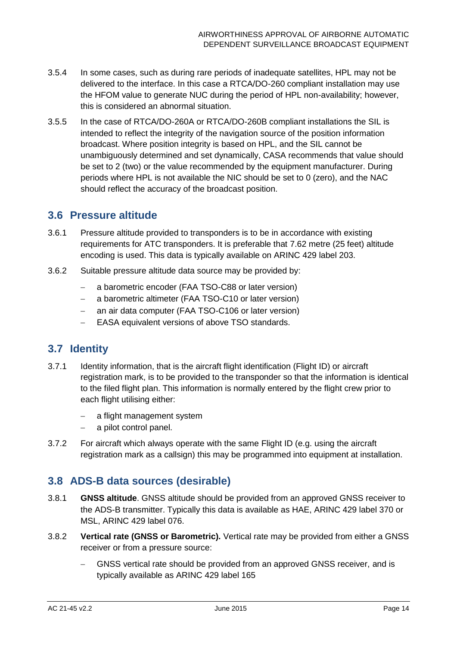- 3.5.4 In some cases, such as during rare periods of inadequate satellites, HPL may not be delivered to the interface. In this case a RTCA/DO-260 compliant installation may use the HFOM value to generate NUC during the period of HPL non-availability; however, this is considered an abnormal situation.
- 3.5.5 In the case of RTCA/DO-260A or RTCA/DO-260B compliant installations the SIL is intended to reflect the integrity of the navigation source of the position information broadcast. Where position integrity is based on HPL, and the SIL cannot be unambiguously determined and set dynamically, CASA recommends that value should be set to 2 (two) or the value recommended by the equipment manufacturer. During periods where HPL is not available the NIC should be set to 0 (zero), and the NAC should reflect the accuracy of the broadcast position.

### <span id="page-14-0"></span>**3.6 Pressure altitude**

- 3.6.1 Pressure altitude provided to transponders is to be in accordance with existing requirements for ATC transponders. It is preferable that 7.62 metre (25 feet) altitude encoding is used. This data is typically available on ARINC 429 label 203.
- 3.6.2 Suitable pressure altitude data source may be provided by:
	- a barometric encoder (FAA TSO-C88 or later version)
	- a barometric altimeter (FAA TSO-C10 or later version)
	- an air data computer (FAA TSO-C106 or later version)
	- EASA equivalent versions of above TSO standards.

## <span id="page-14-1"></span>**3.7 Identity**

- 3.7.1 Identity information, that is the aircraft flight identification (Flight ID) or aircraft registration mark, is to be provided to the transponder so that the information is identical to the filed flight plan. This information is normally entered by the flight crew prior to each flight utilising either:
	- a flight management system
	- a pilot control panel.
- 3.7.2 For aircraft which always operate with the same Flight ID (e.g. using the aircraft registration mark as a callsign) this may be programmed into equipment at installation.

## <span id="page-14-2"></span>**3.8 ADS-B data sources (desirable)**

- 3.8.1 **GNSS altitude**. GNSS altitude should be provided from an approved GNSS receiver to the ADS-B transmitter. Typically this data is available as HAE, ARINC 429 label 370 or MSL, ARINC 429 label 076.
- 3.8.2 **Vertical rate (GNSS or Barometric).** Vertical rate may be provided from either a GNSS receiver or from a pressure source:
	- GNSS vertical rate should be provided from an approved GNSS receiver, and is typically available as ARINC 429 label 165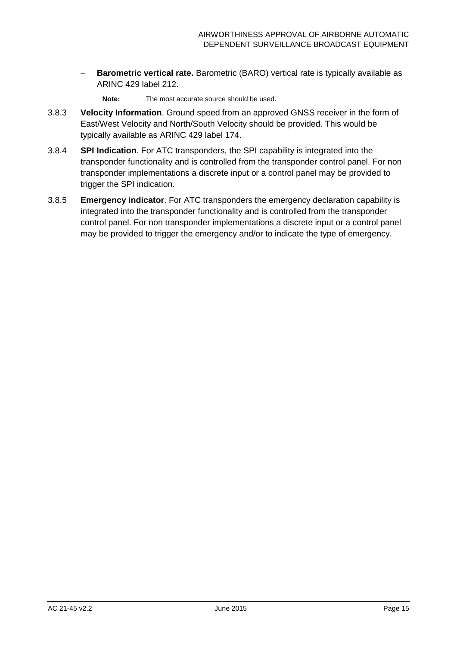- **Barometric vertical rate.** Barometric (BARO) vertical rate is typically available as ARINC 429 label 212.
	- **Note:** The most accurate source should be used.
- 3.8.3 **Velocity Information**. Ground speed from an approved GNSS receiver in the form of East/West Velocity and North/South Velocity should be provided. This would be typically available as ARINC 429 label 174.
- 3.8.4 **SPI Indication**. For ATC transponders, the SPI capability is integrated into the transponder functionality and is controlled from the transponder control panel. For non transponder implementations a discrete input or a control panel may be provided to trigger the SPI indication.
- 3.8.5 **Emergency indicator**. For ATC transponders the emergency declaration capability is integrated into the transponder functionality and is controlled from the transponder control panel. For non transponder implementations a discrete input or a control panel may be provided to trigger the emergency and/or to indicate the type of emergency.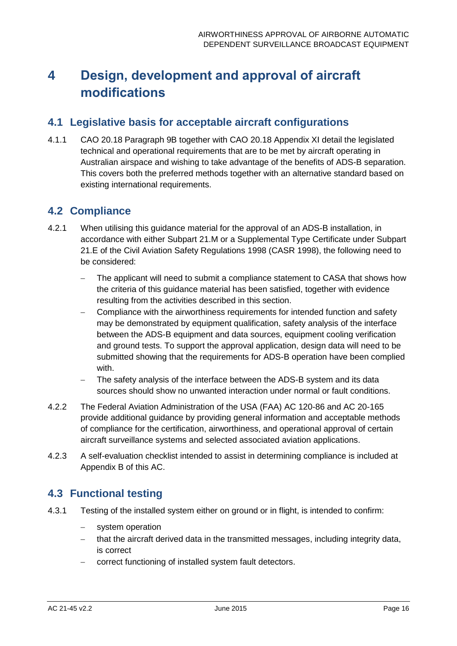# <span id="page-16-0"></span>**4 Design, development and approval of aircraft modifications**

## <span id="page-16-1"></span>**4.1 Legislative basis for acceptable aircraft configurations**

4.1.1 CAO 20.18 Paragraph 9B together with CAO 20.18 Appendix XI detail the legislated technical and operational requirements that are to be met by aircraft operating in Australian airspace and wishing to take advantage of the benefits of ADS-B separation. This covers both the preferred methods together with an alternative standard based on existing international requirements.

## <span id="page-16-2"></span>**4.2 Compliance**

- 4.2.1 When utilising this guidance material for the approval of an ADS-B installation, in accordance with either Subpart 21.M or a Supplemental Type Certificate under Subpart 21.E of the Civil Aviation Safety Regulations 1998 (CASR 1998), the following need to be considered:
	- The applicant will need to submit a compliance statement to CASA that shows how the criteria of this guidance material has been satisfied, together with evidence resulting from the activities described in this section.
	- Compliance with the airworthiness requirements for intended function and safety may be demonstrated by equipment qualification, safety analysis of the interface between the ADS-B equipment and data sources, equipment cooling verification and ground tests. To support the approval application, design data will need to be submitted showing that the requirements for ADS-B operation have been complied with.
	- The safety analysis of the interface between the ADS-B system and its data sources should show no unwanted interaction under normal or fault conditions.
- 4.2.2 The Federal Aviation Administration of the USA (FAA) AC 120-86 and AC 20-165 provide additional guidance by providing general information and acceptable methods of compliance for the certification, airworthiness, and operational approval of certain aircraft surveillance systems and selected associated aviation applications.
- 4.2.3 A self-evaluation checklist intended to assist in determining compliance is included at Appendix B of this AC.

## <span id="page-16-3"></span>**4.3 Functional testing**

- 4.3.1 Testing of the installed system either on ground or in flight, is intended to confirm:
	- system operation
	- that the aircraft derived data in the transmitted messages, including integrity data, is correct
	- correct functioning of installed system fault detectors.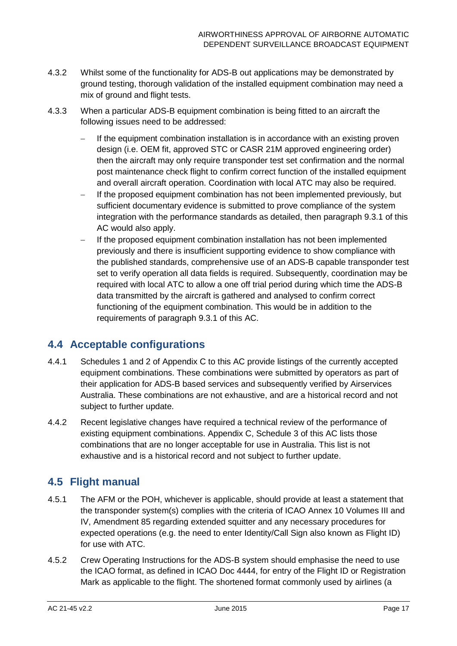- 4.3.2 Whilst some of the functionality for ADS-B out applications may be demonstrated by ground testing, thorough validation of the installed equipment combination may need a mix of ground and flight tests.
- 4.3.3 When a particular ADS-B equipment combination is being fitted to an aircraft the following issues need to be addressed:
	- If the equipment combination installation is in accordance with an existing proven design (i.e. OEM fit, approved STC or CASR 21M approved engineering order) then the aircraft may only require transponder test set confirmation and the normal post maintenance check flight to confirm correct function of the installed equipment and overall aircraft operation. Coordination with local ATC may also be required.
	- If the proposed equipment combination has not been implemented previously, but sufficient documentary evidence is submitted to prove compliance of the system integration with the performance standards as detailed, then paragraph 9.3.1 of this AC would also apply.
	- If the proposed equipment combination installation has not been implemented previously and there is insufficient supporting evidence to show compliance with the published standards, comprehensive use of an ADS-B capable transponder test set to verify operation all data fields is required. Subsequently, coordination may be required with local ATC to allow a one off trial period during which time the ADS-B data transmitted by the aircraft is gathered and analysed to confirm correct functioning of the equipment combination. This would be in addition to the requirements of paragraph 9.3.1 of this AC.

## <span id="page-17-0"></span>**4.4 Acceptable configurations**

- 4.4.1 Schedules 1 and 2 of Appendix C to this AC provide listings of the currently accepted equipment combinations. These combinations were submitted by operators as part of their application for ADS-B based services and subsequently verified by Airservices Australia. These combinations are not exhaustive, and are a historical record and not subject to further update.
- 4.4.2 Recent legislative changes have required a technical review of the performance of existing equipment combinations. Appendix C, Schedule 3 of this AC lists those combinations that are no longer acceptable for use in Australia. This list is not exhaustive and is a historical record and not subject to further update.

## <span id="page-17-1"></span>**4.5 Flight manual**

- 4.5.1 The AFM or the POH, whichever is applicable, should provide at least a statement that the transponder system(s) complies with the criteria of ICAO Annex 10 Volumes III and IV, Amendment 85 regarding extended squitter and any necessary procedures for expected operations (e.g. the need to enter Identity/Call Sign also known as Flight ID) for use with ATC.
- 4.5.2 Crew Operating Instructions for the ADS-B system should emphasise the need to use the ICAO format, as defined in ICAO Doc 4444, for entry of the Flight ID or Registration Mark as applicable to the flight. The shortened format commonly used by airlines (a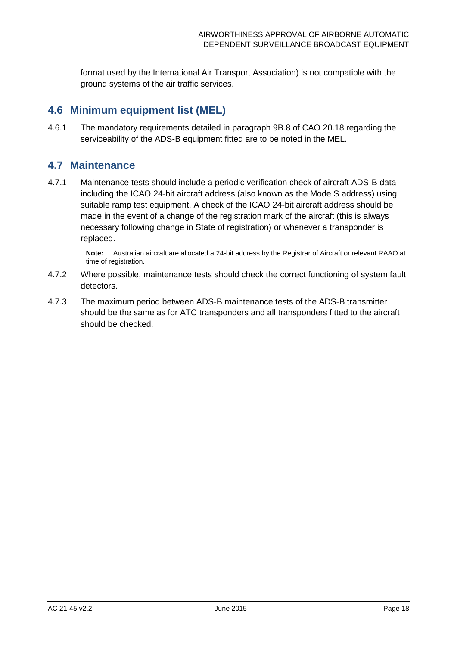format used by the International Air Transport Association) is not compatible with the ground systems of the air traffic services.

## <span id="page-18-0"></span>**4.6 Minimum equipment list (MEL)**

4.6.1 The mandatory requirements detailed in paragraph 9B.8 of CAO 20.18 regarding the serviceability of the ADS-B equipment fitted are to be noted in the MEL.

## <span id="page-18-1"></span>**4.7 Maintenance**

4.7.1 Maintenance tests should include a periodic verification check of aircraft ADS-B data including the ICAO 24-bit aircraft address (also known as the Mode S address) using suitable ramp test equipment. A check of the ICAO 24-bit aircraft address should be made in the event of a change of the registration mark of the aircraft (this is always necessary following change in State of registration) or whenever a transponder is replaced.

> **Note:** Australian aircraft are allocated a 24-bit address by the Registrar of Aircraft or relevant RAAO at time of registration.

- 4.7.2 Where possible, maintenance tests should check the correct functioning of system fault detectors.
- 4.7.3 The maximum period between ADS-B maintenance tests of the ADS-B transmitter should be the same as for ATC transponders and all transponders fitted to the aircraft should be checked.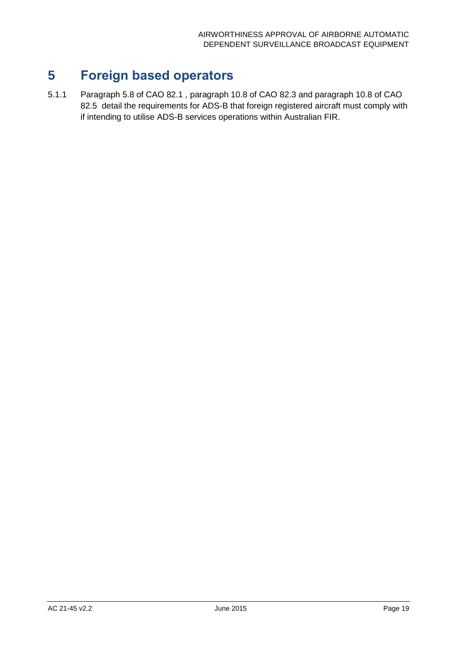## <span id="page-19-0"></span>**5 Foreign based operators**

5.1.1 Paragraph 5.8 of CAO 82.1 , paragraph 10.8 of CAO 82.3 and paragraph 10.8 of CAO 82.5 detail the requirements for ADS-B that foreign registered aircraft must comply with if intending to utilise ADS-B services operations within Australian FIR.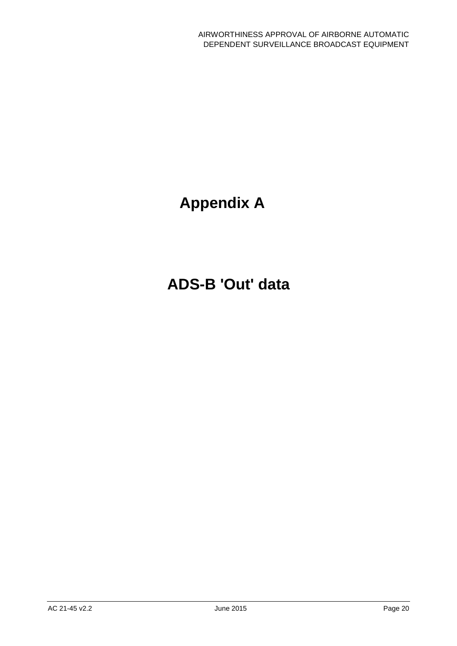# **Appendix A**

# <span id="page-20-0"></span>**ADS-B 'Out' data**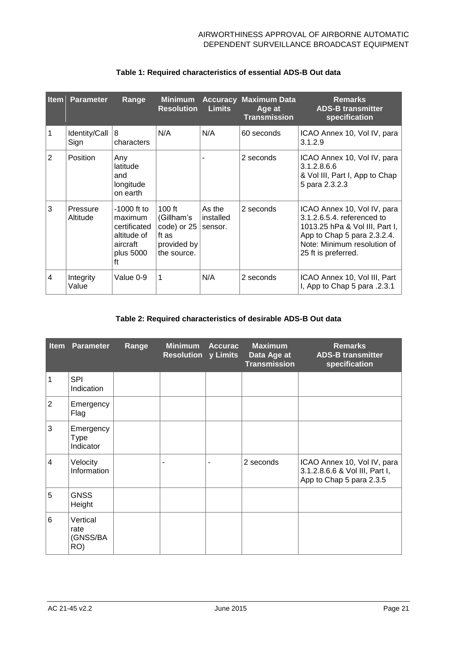|                | <b>Item Parameter</b> | Range                                                                                  | <b>Minimum</b><br><b>Resolution</b>                                          | <b>Limits</b>                  | <b>Accuracy Maximum Data</b><br>Age at<br><b>Transmission</b> | <b>Remarks</b><br><b>ADS-B transmitter</b><br>specification                                                                                                                      |
|----------------|-----------------------|----------------------------------------------------------------------------------------|------------------------------------------------------------------------------|--------------------------------|---------------------------------------------------------------|----------------------------------------------------------------------------------------------------------------------------------------------------------------------------------|
|                | Identity/Call<br>Sign | 8<br>characters                                                                        | N/A                                                                          | N/A                            | 60 seconds                                                    | ICAO Annex 10, Vol IV, para<br>3.1.2.9                                                                                                                                           |
| 2              | <b>Position</b>       | Any<br>latitude<br>and<br>longitude<br>on earth                                        |                                                                              |                                | 2 seconds                                                     | ICAO Annex 10, Vol IV, para<br>3.1.2.8.6.6<br>& Vol III, Part I, App to Chap<br>5 para 2.3.2.3                                                                                   |
| 3              | Pressure<br>Altitude  | $-1000$ ft to<br>maximum<br>certificated<br>altitude of<br>aircraft<br>plus 5000<br>ft | $100$ ft<br>(Gillham's<br>code) or 25<br>ft as<br>provided by<br>the source. | As the<br>installed<br>sensor. | 2 seconds                                                     | ICAO Annex 10, Vol IV, para<br>3.1.2.6.5.4. referenced to<br>1013.25 hPa & Vol III, Part I,<br>App to Chap 5 para 2.3.2.4.<br>Note: Minimum resolution of<br>25 ft is preferred. |
| $\overline{4}$ | Integrity<br>Value    | Value 0-9                                                                              | 1                                                                            | N/A                            | 2 seconds                                                     | ICAO Annex 10, Vol III, Part<br>I, App to Chap 5 para .2.3.1                                                                                                                     |

### **Table 1: Required characteristics of essential ADS-B Out data**

#### **Table 2: Required characteristics of desirable ADS-B Out data**

| <b>Item</b>    | <b>Parameter</b>                      | Range | <b>Minimum</b><br><b>Resolution y Limits</b> | <b>Accurac</b> | <b>Maximum</b><br>Data Age at<br><b>Transmission</b> | <b>Remarks</b><br><b>ADS-B transmitter</b><br>specification                               |
|----------------|---------------------------------------|-------|----------------------------------------------|----------------|------------------------------------------------------|-------------------------------------------------------------------------------------------|
| 1              | <b>SPI</b><br>Indication              |       |                                              |                |                                                      |                                                                                           |
| $\overline{2}$ | Emergency<br>Flag                     |       |                                              |                |                                                      |                                                                                           |
| 3              | Emergency<br><b>Type</b><br>Indicator |       |                                              |                |                                                      |                                                                                           |
| $\overline{4}$ | Velocity<br>Information               |       |                                              |                | 2 seconds                                            | ICAO Annex 10, Vol IV, para<br>3.1.2.8.6.6 & Vol III, Part I,<br>App to Chap 5 para 2.3.5 |
| 5              | <b>GNSS</b><br>Height                 |       |                                              |                |                                                      |                                                                                           |
| 6              | Vertical<br>rate<br>(GNSS/BA<br>RO)   |       |                                              |                |                                                      |                                                                                           |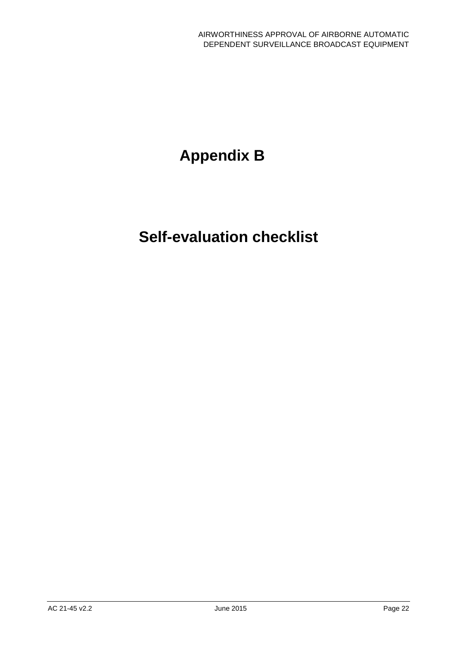# **Appendix B**

# <span id="page-22-0"></span>**Self-evaluation checklist**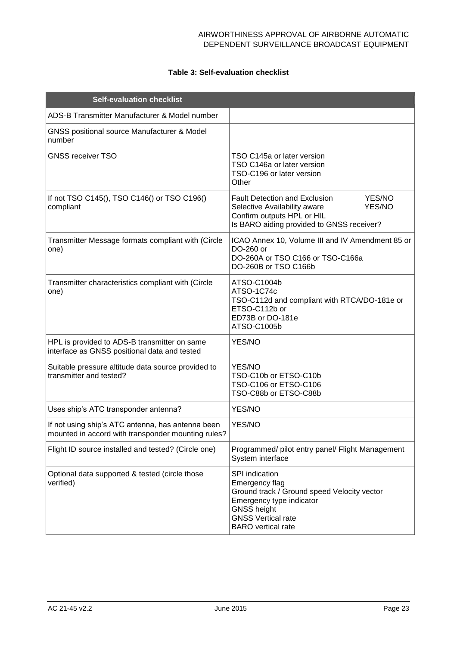### **Table 3: Self-evaluation checklist**

| <b>Self-evaluation checklist</b>                                                                        |                                                                                                                                                                                             |
|---------------------------------------------------------------------------------------------------------|---------------------------------------------------------------------------------------------------------------------------------------------------------------------------------------------|
| ADS-B Transmitter Manufacturer & Model number                                                           |                                                                                                                                                                                             |
| <b>GNSS positional source Manufacturer &amp; Model</b><br>number                                        |                                                                                                                                                                                             |
| <b>GNSS receiver TSO</b>                                                                                | TSO C145a or later version<br>TSO C146a or later version<br>TSO-C196 or later version<br>Other                                                                                              |
| If not TSO C145(), TSO C146() or TSO C196()<br>compliant                                                | <b>Fault Detection and Exclusion</b><br>YES/NO<br>Selective Availability aware<br>YES/NO<br>Confirm outputs HPL or HIL<br>Is BARO aiding provided to GNSS receiver?                         |
| Transmitter Message formats compliant with (Circle<br>one)                                              | ICAO Annex 10, Volume III and IV Amendment 85 or<br>DO-260 or<br>DO-260A or TSO C166 or TSO-C166a<br>DO-260B or TSO C166b                                                                   |
| Transmitter characteristics compliant with (Circle<br>one)                                              | ATSO-C1004b<br>ATSO-1C74c<br>TSO-C112d and compliant with RTCA/DO-181e or<br>ETSO-C112b or<br>ED73B or DO-181e<br>ATSO-C1005b                                                               |
| HPL is provided to ADS-B transmitter on same<br>interface as GNSS positional data and tested            | YES/NO                                                                                                                                                                                      |
| Suitable pressure altitude data source provided to<br>transmitter and tested?                           | YES/NO<br>TSO-C10b or ETSO-C10b<br>TSO-C106 or ETSO-C106<br>TSO-C88b or ETSO-C88b                                                                                                           |
| Uses ship's ATC transponder antenna?                                                                    | YES/NO                                                                                                                                                                                      |
| If not using ship's ATC antenna, has antenna been<br>mounted in accord with transponder mounting rules? | YES/NO                                                                                                                                                                                      |
| Flight ID source installed and tested? (Circle one)                                                     | Programmed/ pilot entry panel/ Flight Management<br>System interface                                                                                                                        |
| Optional data supported & tested (circle those<br>verified)                                             | SPI indication<br>Emergency flag<br>Ground track / Ground speed Velocity vector<br>Emergency type indicator<br><b>GNSS height</b><br><b>GNSS Vertical rate</b><br><b>BARO</b> vertical rate |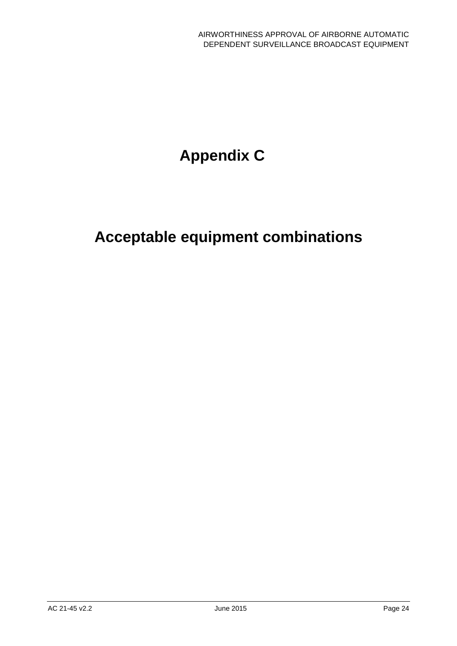# **Appendix C**

# <span id="page-24-0"></span>**Acceptable equipment combinations**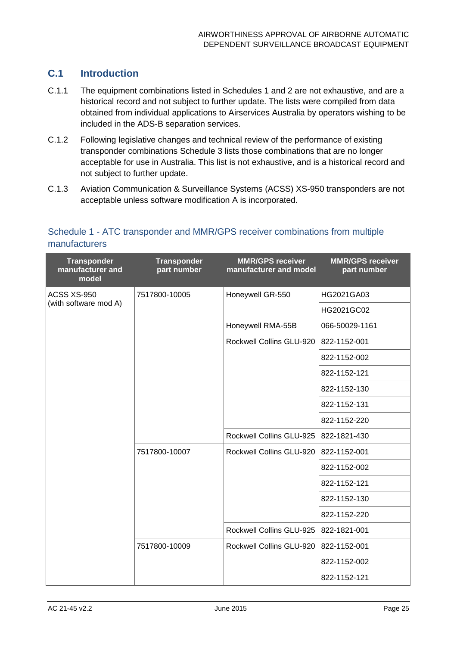## **C.1 Introduction**

- C.1.1 The equipment combinations listed in Schedules 1 and 2 are not exhaustive, and are a historical record and not subject to further update. The lists were compiled from data obtained from individual applications to Airservices Australia by operators wishing to be included in the ADS-B separation services.
- C.1.2 Following legislative changes and technical review of the performance of existing transponder combinations Schedule 3 lists those combinations that are no longer acceptable for use in Australia. This list is not exhaustive, and is a historical record and not subject to further update.
- C.1.3 Aviation Communication & Surveillance Systems (ACSS) XS-950 transponders are not acceptable unless software modification A is incorporated.

| <b>Transponder</b><br>manufacturer and<br>model | <b>Transponder</b><br>part number | <b>MMR/GPS receiver</b><br>manufacturer and model | <b>MMR/GPS receiver</b><br>part number |
|-------------------------------------------------|-----------------------------------|---------------------------------------------------|----------------------------------------|
| ACSS XS-950                                     | 7517800-10005                     | Honeywell GR-550                                  | HG2021GA03                             |
| (with software mod A)                           |                                   |                                                   | HG2021GC02                             |
|                                                 |                                   | Honeywell RMA-55B                                 | 066-50029-1161                         |
|                                                 |                                   | Rockwell Collins GLU-920                          | 822-1152-001                           |
|                                                 |                                   |                                                   | 822-1152-002                           |
|                                                 |                                   |                                                   | 822-1152-121                           |
|                                                 |                                   |                                                   | 822-1152-130                           |
|                                                 |                                   |                                                   | 822-1152-131                           |
|                                                 |                                   |                                                   | 822-1152-220                           |
|                                                 |                                   | Rockwell Collins GLU-925                          | 822-1821-430                           |
|                                                 | 7517800-10007                     | Rockwell Collins GLU-920                          | 822-1152-001                           |
|                                                 |                                   |                                                   | 822-1152-002                           |
|                                                 |                                   |                                                   | 822-1152-121                           |
|                                                 |                                   |                                                   | 822-1152-130                           |
|                                                 |                                   |                                                   | 822-1152-220                           |
|                                                 |                                   | Rockwell Collins GLU-925                          | 822-1821-001                           |
|                                                 | 7517800-10009                     | Rockwell Collins GLU-920                          | 822-1152-001                           |
|                                                 |                                   |                                                   | 822-1152-002                           |
|                                                 |                                   |                                                   | 822-1152-121                           |

### Schedule 1 - ATC transponder and MMR/GPS receiver combinations from multiple manufacturers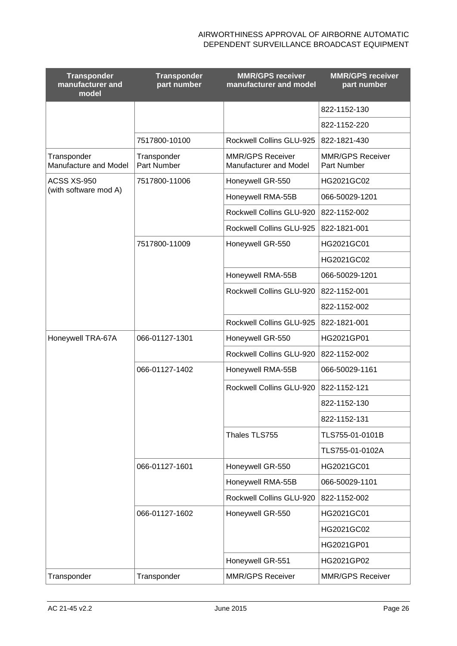| <b>Transponder</b><br>manufacturer and<br>model | <b>Transponder</b><br>part number | <b>MMR/GPS receiver</b><br>manufacturer and model | <b>MMR/GPS receiver</b><br>part number |
|-------------------------------------------------|-----------------------------------|---------------------------------------------------|----------------------------------------|
|                                                 |                                   |                                                   | 822-1152-130                           |
|                                                 |                                   |                                                   | 822-1152-220                           |
|                                                 | 7517800-10100                     | Rockwell Collins GLU-925                          | 822-1821-430                           |
| Transponder<br>Manufacture and Model            | Transponder<br>Part Number        | <b>MMR/GPS Receiver</b><br>Manufacturer and Model | <b>MMR/GPS Receiver</b><br>Part Number |
| ACSS XS-950                                     | 7517800-11006                     | Honeywell GR-550                                  | HG2021GC02                             |
| (with software mod A)                           |                                   | Honeywell RMA-55B                                 | 066-50029-1201                         |
|                                                 |                                   | Rockwell Collins GLU-920                          | 822-1152-002                           |
|                                                 |                                   | Rockwell Collins GLU-925                          | 822-1821-001                           |
|                                                 | 7517800-11009                     | Honeywell GR-550                                  | HG2021GC01                             |
|                                                 |                                   |                                                   | HG2021GC02                             |
|                                                 |                                   | Honeywell RMA-55B                                 | 066-50029-1201                         |
|                                                 |                                   | Rockwell Collins GLU-920                          | 822-1152-001                           |
|                                                 |                                   |                                                   | 822-1152-002                           |
|                                                 |                                   | Rockwell Collins GLU-925                          | 822-1821-001                           |
| Honeywell TRA-67A                               | 066-01127-1301                    | Honeywell GR-550                                  | HG2021GP01                             |
|                                                 |                                   | Rockwell Collins GLU-920                          | 822-1152-002                           |
|                                                 | 066-01127-1402                    | Honeywell RMA-55B                                 | 066-50029-1161                         |
|                                                 |                                   | Rockwell Collins GLU-920                          | 822-1152-121                           |
|                                                 |                                   |                                                   | 822-1152-130                           |
|                                                 |                                   |                                                   | 822-1152-131                           |
|                                                 |                                   | Thales TLS755                                     | TLS755-01-0101B                        |
|                                                 |                                   |                                                   | TLS755-01-0102A                        |
|                                                 | 066-01127-1601                    | Honeywell GR-550                                  | HG2021GC01                             |
|                                                 |                                   | Honeywell RMA-55B                                 | 066-50029-1101                         |
|                                                 |                                   | Rockwell Collins GLU-920                          | 822-1152-002                           |
|                                                 | 066-01127-1602                    | Honeywell GR-550                                  | HG2021GC01                             |
|                                                 |                                   |                                                   | HG2021GC02                             |
|                                                 |                                   |                                                   | HG2021GP01                             |
|                                                 |                                   | Honeywell GR-551                                  | HG2021GP02                             |
| Transponder                                     | Transponder                       | <b>MMR/GPS Receiver</b>                           | <b>MMR/GPS Receiver</b>                |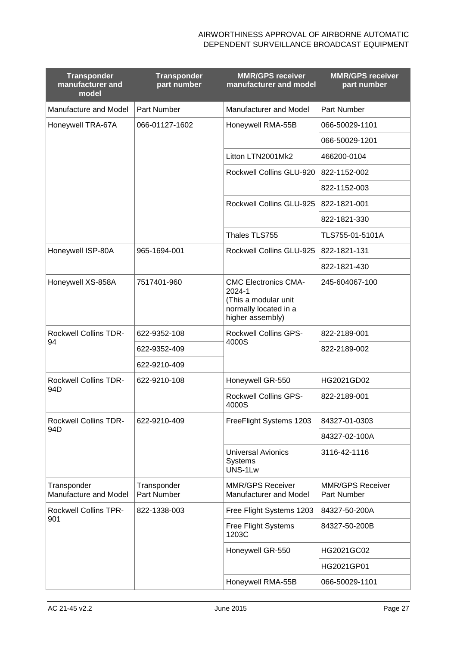| <b>Transponder</b><br>manufacturer and<br>model | <b>Transponder</b><br>part number | <b>MMR/GPS receiver</b><br>manufacturer and model                                                          | <b>MMR/GPS receiver</b><br>part number |
|-------------------------------------------------|-----------------------------------|------------------------------------------------------------------------------------------------------------|----------------------------------------|
| Manufacture and Model                           | Part Number                       | Manufacturer and Model                                                                                     | Part Number                            |
| Honeywell TRA-67A                               | 066-01127-1602                    | Honeywell RMA-55B                                                                                          | 066-50029-1101                         |
|                                                 |                                   |                                                                                                            | 066-50029-1201                         |
|                                                 |                                   | Litton LTN2001Mk2                                                                                          | 466200-0104                            |
|                                                 |                                   | Rockwell Collins GLU-920                                                                                   | 822-1152-002                           |
|                                                 |                                   |                                                                                                            | 822-1152-003                           |
|                                                 |                                   | Rockwell Collins GLU-925                                                                                   | 822-1821-001                           |
|                                                 |                                   |                                                                                                            | 822-1821-330                           |
|                                                 |                                   | Thales TLS755                                                                                              | TLS755-01-5101A                        |
| Honeywell ISP-80A                               | 965-1694-001                      | Rockwell Collins GLU-925                                                                                   | 822-1821-131                           |
|                                                 |                                   |                                                                                                            | 822-1821-430                           |
| Honeywell XS-858A                               | 7517401-960                       | <b>CMC Electronics CMA-</b><br>2024-1<br>(This a modular unit<br>normally located in a<br>higher assembly) | 245-604067-100                         |
| <b>Rockwell Collins TDR-</b><br>94              | 622-9352-108                      | <b>Rockwell Collins GPS-</b><br>4000S                                                                      | 822-2189-001                           |
|                                                 | 622-9352-409                      |                                                                                                            | 822-2189-002                           |
|                                                 | 622-9210-409                      |                                                                                                            |                                        |
| <b>Rockwell Collins TDR-</b><br>94D             | 622-9210-108                      | Honeywell GR-550                                                                                           | HG2021GD02                             |
|                                                 |                                   | <b>Rockwell Collins GPS-</b><br>4000S                                                                      | 822-2189-001                           |
| <b>Rockwell Collins TDR-</b>                    | 622-9210-409                      | FreeFlight Systems 1203                                                                                    | 84327-01-0303                          |
| 94D                                             |                                   |                                                                                                            | 84327-02-100A                          |
|                                                 |                                   | <b>Universal Avionics</b><br><b>Systems</b><br>UNS-1Lw                                                     | 3116-42-1116                           |
| Transponder<br>Manufacture and Model            | Transponder<br>Part Number        | <b>MMR/GPS Receiver</b><br>Manufacturer and Model                                                          | <b>MMR/GPS Receiver</b><br>Part Number |
| <b>Rockwell Collins TPR-</b>                    | 822-1338-003                      | Free Flight Systems 1203                                                                                   | 84327-50-200A                          |
| 901                                             |                                   | Free Flight Systems<br>1203C                                                                               | 84327-50-200B                          |
|                                                 |                                   | Honeywell GR-550                                                                                           | HG2021GC02                             |
|                                                 |                                   |                                                                                                            | HG2021GP01                             |
|                                                 |                                   | Honeywell RMA-55B                                                                                          | 066-50029-1101                         |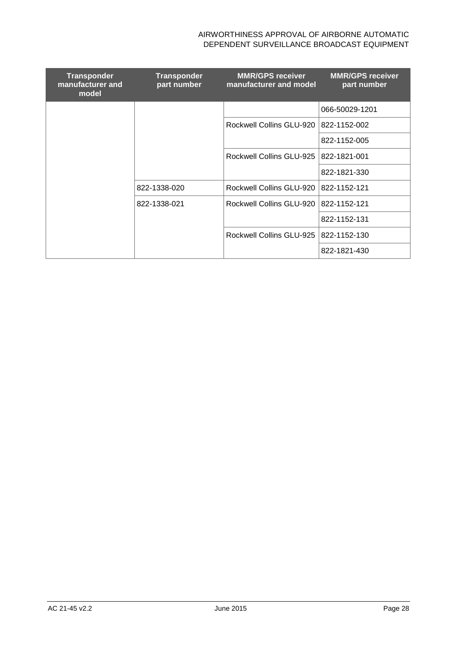| <b>Transponder</b><br>manufacturer and<br>model | <b>Transponder</b><br>part number | <b>MMR/GPS receiver</b><br>manufacturer and model | <b>MMR/GPS receiver</b><br>part number |
|-------------------------------------------------|-----------------------------------|---------------------------------------------------|----------------------------------------|
|                                                 |                                   |                                                   | 066-50029-1201                         |
|                                                 |                                   | Rockwell Collins GLU-920   822-1152-002           |                                        |
|                                                 |                                   |                                                   | 822-1152-005                           |
|                                                 |                                   | Rockwell Collins GLU-925   822-1821-001           |                                        |
|                                                 |                                   |                                                   | 822-1821-330                           |
|                                                 | 822-1338-020                      | Rockwell Collins GLU-920 1822-1152-121            |                                        |
|                                                 | 822-1338-021                      | Rockwell Collins GLU-920                          | 822-1152-121                           |
|                                                 |                                   |                                                   | 822-1152-131                           |
|                                                 |                                   | Rockwell Collins GLU-925   822-1152-130           |                                        |
|                                                 |                                   |                                                   | 822-1821-430                           |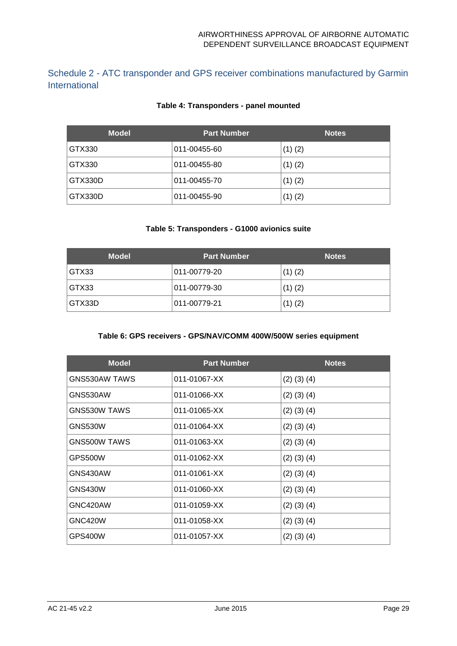Schedule 2 - ATC transponder and GPS receiver combinations manufactured by Garmin International

### **Table 4: Transponders - panel mounted**

| <b>Model</b> | <b>Part Number</b> | <b>Notes</b> |
|--------------|--------------------|--------------|
| GTX330       | 011-00455-60       | $(1)$ $(2)$  |
| GTX330       | 011-00455-80       | $(1)$ $(2)$  |
| GTX330D      | 011-00455-70       | $(1)$ $(2)$  |
| GTX330D      | 011-00455-90       | $(1)$ $(2)$  |

#### **Table 5: Transponders - G1000 avionics suite**

| <b>Model</b> | <b>Part Number</b> | <b>Notes</b> |
|--------------|--------------------|--------------|
| GTX33        | 011-00779-20       | $(1)$ $(2)$  |
| GTX33        | 011-00779-30       | $(1)$ $(2)$  |
| GTX33D       | 011-00779-21       | $(1)$ $(2)$  |

#### **Table 6: GPS receivers - GPS/NAV/COMM 400W/500W series equipment**

| <b>Model</b>        | <b>Part Number</b> | <b>Notes</b>      |
|---------------------|--------------------|-------------------|
| GNS530AW TAWS       | 011-01067-XX       | $(2)$ $(3)$ $(4)$ |
| GNS530AW            | 011-01066-XX       | $(2)$ $(3)$ $(4)$ |
| <b>GNS530W TAWS</b> | 011-01065-XX       | $(2)$ $(3)$ $(4)$ |
| GNS530W             | 011-01064-XX       | $(2)$ $(3)$ $(4)$ |
| <b>GNS500W TAWS</b> | 011-01063-XX       | $(2)$ $(3)$ $(4)$ |
| GPS500W             | 011-01062-XX       | $(2)$ $(3)$ $(4)$ |
| GNS430AW            | 011-01061-XX       | $(2)$ $(3)$ $(4)$ |
| <b>GNS430W</b>      | 011-01060-XX       | $(2)$ $(3)$ $(4)$ |
| GNC420AW            | 011-01059-XX       | $(2)$ $(3)$ $(4)$ |
| <b>GNC420W</b>      | 011-01058-XX       | $(2)$ $(3)$ $(4)$ |
| GPS400W             | 011-01057-XX       | $(2)$ $(3)$ $(4)$ |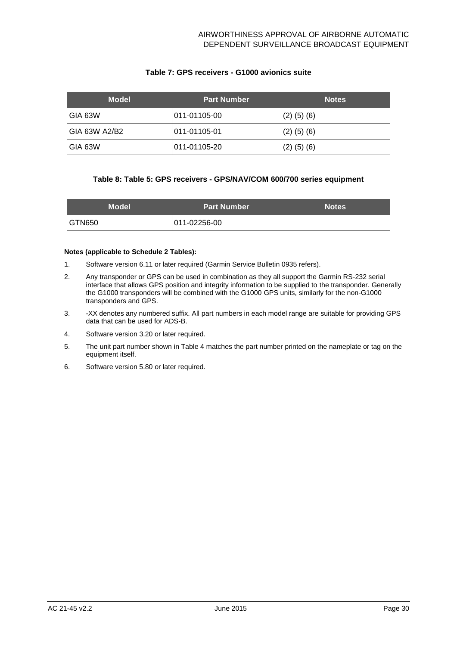#### **Table 7: GPS receivers - G1000 avionics suite**

| <b>Model</b>  | <b>Part Number</b> | <b>Notes</b>      |
|---------------|--------------------|-------------------|
| GIA 63W       | 011-01105-00       | $(2)$ $(5)$ $(6)$ |
| GIA 63W A2/B2 | 011-01105-01       | $(2)$ $(5)$ $(6)$ |
| IGIA 63W      | 011-01105-20       | $(2)$ $(5)$ $(6)$ |

#### **Table 8: Table 5: GPS receivers - GPS/NAV/COM 600/700 series equipment**

| <b>Model</b>  | <b>Part Number</b> | <b>Notes</b> |
|---------------|--------------------|--------------|
| <b>GTN650</b> | 011-02256-00       |              |

#### **Notes (applicable to Schedule 2 Tables):**

- 1. Software version 6.11 or later required (Garmin Service Bulletin 0935 refers).
- 2. Any transponder or GPS can be used in combination as they all support the Garmin RS-232 serial interface that allows GPS position and integrity information to be supplied to the transponder. Generally the G1000 transponders will be combined with the G1000 GPS units, similarly for the non-G1000 transponders and GPS.
- 3. -XX denotes any numbered suffix. All part numbers in each model range are suitable for providing GPS data that can be used for ADS-B.
- 4. Software version 3.20 or later required.
- 5. The unit part number shown in Table 4 matches the part number printed on the nameplate or tag on the equipment itself.
- 6. Software version 5.80 or later required.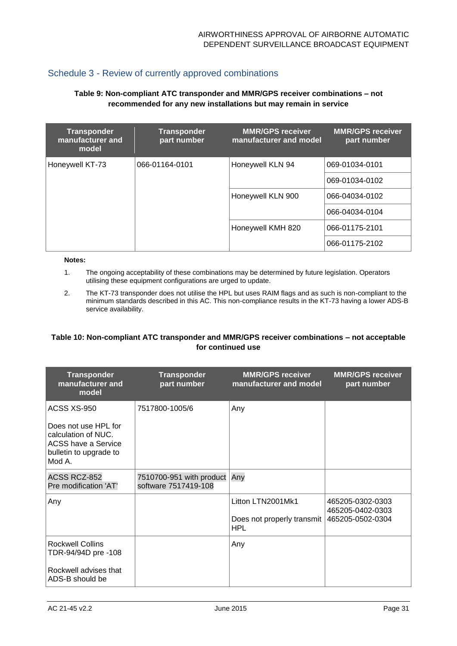### Schedule 3 - Review of currently approved combinations

#### **Table 9: Non-compliant ATC transponder and MMR/GPS receiver combinations – not recommended for any new installations but may remain in service**

| <b>Transponder</b><br>manufacturer and<br>model | <b>Transponder</b><br>part number | <b>MMR/GPS receiver</b><br>manufacturer and model | <b>MMR/GPS receiver</b><br>part number |
|-------------------------------------------------|-----------------------------------|---------------------------------------------------|----------------------------------------|
| Honeywell KT-73                                 | 066-01164-0101                    | Honeywell KLN 94                                  | 069-01034-0101                         |
|                                                 |                                   |                                                   | 069-01034-0102                         |
|                                                 | Honeywell KLN 900                 | 066-04034-0102                                    |                                        |
|                                                 |                                   | 066-04034-0104                                    |                                        |
|                                                 |                                   | Honeywell KMH 820                                 | 066-01175-2101                         |
|                                                 |                                   |                                                   | 066-01175-2102                         |

#### **Notes:**

- 1. The ongoing acceptability of these combinations may be determined by future legislation. Operators utilising these equipment configurations are urged to update.
- 2. The KT-73 transponder does not utilise the HPL but uses RAIM flags and as such is non-compliant to the minimum standards described in this AC. This non-compliance results in the KT-73 having a lower ADS-B service availability.

#### **Table 10: Non-compliant ATC transponder and MMR/GPS receiver combinations – not acceptable for continued use**

| <b>Transponder</b><br>manufacturer and<br>model                                                                       | <b>Transponder</b><br>part number                | <b>MMR/GPS receiver</b><br>manufacturer and model             | <b>MMR/GPS receiver</b><br>part number                   |
|-----------------------------------------------------------------------------------------------------------------------|--------------------------------------------------|---------------------------------------------------------------|----------------------------------------------------------|
| ACSS XS-950<br>Does not use HPL for<br>calculation of NUC.<br>ACSS have a Service<br>bulletin to upgrade to<br>Mod A. | 7517800-1005/6                                   | Any                                                           |                                                          |
| ACSS RCZ-852<br>Pre modification 'AT'                                                                                 | 7510700-951 with product<br>software 7517419-108 | Any                                                           |                                                          |
| Any                                                                                                                   |                                                  | Litton LTN2001Mk1<br>Does not properly transmit<br><b>HPL</b> | 465205-0302-0303<br>465205-0402-0303<br>465205-0502-0304 |
| <b>Rockwell Collins</b><br>TDR-94/94D pre -108<br>Rockwell advises that<br>ADS-B should be                            |                                                  | Any                                                           |                                                          |